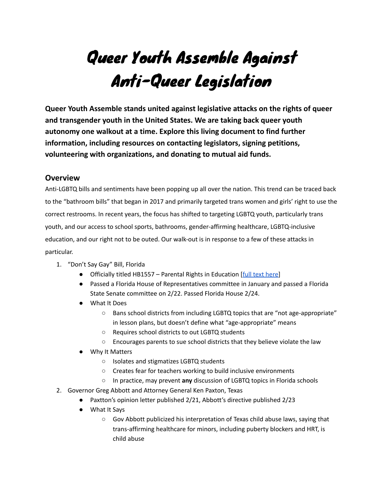# Queer Youth Assemble Against Anti-Queer Legislation

**Queer Youth Assemble stands united against legislative attacks on the rights of queer and transgender youth in the United States. We are taking back queer youth autonomy one walkout at a time. Explore this living document to find further information, including resources on contacting legislators, signing petitions, volunteering with organizations, and donating to mutual aid funds.**

#### **Overview**

Anti-LGBTQ bills and sentiments have been popping up all over the nation. This trend can be traced back to the "bathroom bills" that began in 2017 and primarily targeted trans women and girls' right to use the correct restrooms. In recent years, the focus has shifted to targeting LGBTQ youth, particularly trans youth, and our access to school sports, bathrooms, gender-affirming healthcare, LGBTQ-inclusive education, and our right not to be outed. Our walk-out is in response to a few of these attacks in particular.

- 1. "Don't Say Gay" Bill, Florida
	- Officially titled HB1557 Parental Rights in Education [full text [here\]](https://www.flsenate.gov/Session/Bill/2022/1557/BillText/e1/PDF)
	- Passed a Florida House of Representatives committee in January and passed a Florida State Senate committee on 2/22. Passed Florida House 2/24.
	- What It Does
		- Bans school districts from including LGBTQ topics that are "not age-appropriate" in lesson plans, but doesn't define what "age-appropriate" means
		- Requires school districts to out LGBTQ students
		- Encourages parents to sue school districts that they believe violate the law
	- Why It Matters
		- Isolates and stigmatizes LGBTQ students
		- Creates fear for teachers working to build inclusive environments
		- In practice, may prevent **any** discussion of LGBTQ topics in Florida schools
- 2. Governor Greg Abbott and Attorney General Ken Paxton, Texas
	- Paxtton's opinion letter published 2/21, Abbott's directive published 2/23
	- What It Says
		- Gov Abbott publicized his interpretation of Texas child abuse laws, saying that trans-affirming healthcare for minors, including puberty blockers and HRT, is child abuse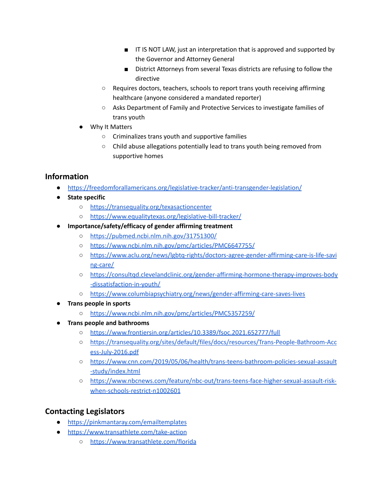- IT IS NOT LAW, just an interpretation that is approved and supported by the Governor and Attorney General
- District Attorneys from several Texas districts are refusing to follow the directive
- Requires doctors, teachers, schools to report trans youth receiving affirming healthcare (anyone considered a mandated reporter)
- Asks Department of Family and Protective Services to investigate families of trans youth
- Why It Matters
	- Criminalizes trans youth and supportive families
	- Child abuse allegations potentially lead to trans youth being removed from supportive homes

## **Information**

- <https://freedomforallamericans.org/legislative-tracker/anti-transgender-legislation/>
- **● State specific**
	- <https://transequality.org/texasactioncenter>
	- <https://www.equalitytexas.org/legislative-bill-tracker/>
- **● Importance/safety/efficacy of gender affirming treatment**
	- <https://pubmed.ncbi.nlm.nih.gov/31751300/>
	- <https://www.ncbi.nlm.nih.gov/pmc/articles/PMC6647755/>
	- [https://www.aclu.org/news/lgbtq-rights/doctors-agree-gender-affirming-care-is-life-savi](https://www.aclu.org/news/lgbtq-rights/doctors-agree-gender-affirming-care-is-life-saving-care/) [ng-care/](https://www.aclu.org/news/lgbtq-rights/doctors-agree-gender-affirming-care-is-life-saving-care/)
	- [https://consultqd.clevelandclinic.org/gender-affirming-hormone-therapy-improves-body](https://consultqd.clevelandclinic.org/gender-affirming-hormone-therapy-improves-body-dissatisfaction-in-youth/) [-dissatisfaction-in-youth/](https://consultqd.clevelandclinic.org/gender-affirming-hormone-therapy-improves-body-dissatisfaction-in-youth/)
	- <https://www.columbiapsychiatry.org/news/gender-affirming-care-saves-lives>
- **● Trans people in sports**
	- <https://www.ncbi.nlm.nih.gov/pmc/articles/PMC5357259/>
- **● Trans people and bathrooms**
	- <https://www.frontiersin.org/articles/10.3389/fsoc.2021.652777/full>
	- [https://transequality.org/sites/default/files/docs/resources/Trans-People-Bathroom-Acc](https://transequality.org/sites/default/files/docs/resources/Trans-People-Bathroom-Access-July-2016.pdf) [ess-July-2016.pdf](https://transequality.org/sites/default/files/docs/resources/Trans-People-Bathroom-Access-July-2016.pdf)
	- [https://www.cnn.com/2019/05/06/health/trans-teens-bathroom-policies-sexual-assault](https://www.cnn.com/2019/05/06/health/trans-teens-bathroom-policies-sexual-assault-study/index.html) [-study/index.html](https://www.cnn.com/2019/05/06/health/trans-teens-bathroom-policies-sexual-assault-study/index.html)
	- [https://www.nbcnews.com/feature/nbc-out/trans-teens-face-higher-sexual-assault-risk](https://www.nbcnews.com/feature/nbc-out/trans-teens-face-higher-sexual-assault-risk-when-schools-restrict-n1002601)[when-schools-restrict-n1002601](https://www.nbcnews.com/feature/nbc-out/trans-teens-face-higher-sexual-assault-risk-when-schools-restrict-n1002601)

## **Contacting Legislators**

- <https://pinkmantaray.com/emailtemplates>
- <https://www.transathlete.com/take-action>
	- <https://www.transathlete.com/florida>